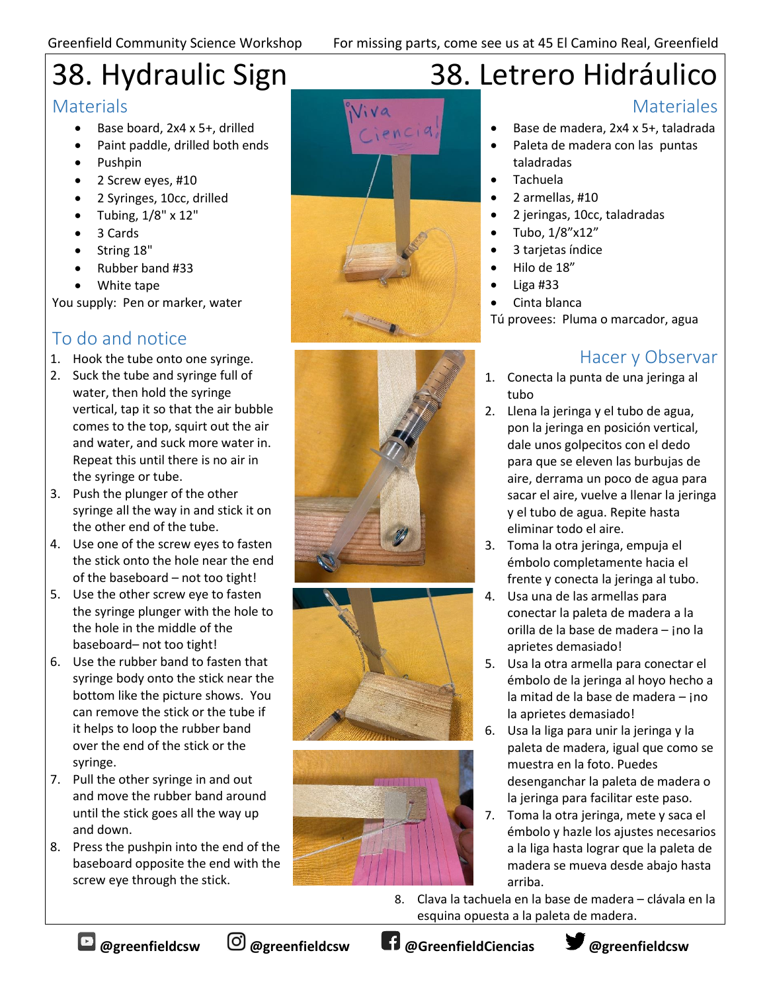# 38. Hydraulic Sign

#### **Materials**

- Base board, 2x4 x 5+, drilled
- Paint paddle, drilled both ends
- Pushpin
- 2 Screw eyes, #10
- 2 Syringes, 10cc, drilled
- Tubing,  $1/8" \times 12"$
- 3 Cards
- String 18"
- Rubber band #33
- White tape

You supply: Pen or marker, water

## To do and notice

- 1. Hook the tube onto one syringe.
- 2. Suck the tube and syringe full of water, then hold the syringe vertical, tap it so that the air bubble comes to the top, squirt out the air and water, and suck more water in. Repeat this until there is no air in the syringe or tube.
- 3. Push the plunger of the other syringe all the way in and stick it on the other end of the tube.
- 4. Use one of the screw eyes to fasten the stick onto the hole near the end of the baseboard – not too tight!
- 5. Use the other screw eye to fasten the syringe plunger with the hole to the hole in the middle of the baseboard– not too tight!
- 6. Use the rubber band to fasten that syringe body onto the stick near the bottom like the picture shows. You can remove the stick or the tube if it helps to loop the rubber band over the end of the stick or the syringe.
- 7. Pull the other syringe in and out and move the rubber band around until the stick goes all the way up and down.
- 8. Press the pushpin into the end of the baseboard opposite the end with the screw eye through the stick.









## 38. Letrero Hidráulico

#### **Materiales**

- Base de madera, 2x4 x 5+, taladrada
- Paleta de madera con las puntas taladradas
- Tachuela
- 2 armellas, #10
- 2 jeringas, 10cc, taladradas
- Tubo, 1/8"x12"
- 3 tarjetas índice
- Hilo de 18"
- Liga #33
- Cinta blanca

Tú provees: Pluma o marcador, agua

## Hacer y Observar

- 1. Conecta la punta de una jeringa al tubo
- 2. Llena la jeringa y el tubo de agua, pon la jeringa en posición vertical, dale unos golpecitos con el dedo para que se eleven las burbujas de aire, derrama un poco de agua para sacar el aire, vuelve a llenar la jeringa y el tubo de agua. Repite hasta eliminar todo el aire.
- 3. Toma la otra jeringa, empuja el émbolo completamente hacia el frente y conecta la jeringa al tubo.
- 4. Usa una de las armellas para conectar la paleta de madera a la orilla de la base de madera – ¡no la aprietes demasiado!
- 5. Usa la otra armella para conectar el émbolo de la jeringa al hoyo hecho a la mitad de la base de madera – ¡no la aprietes demasiado!
- 6. Usa la liga para unir la jeringa y la paleta de madera, igual que como se muestra en la foto. Puedes desenganchar la paleta de madera o la jeringa para facilitar este paso.
- 7. Toma la otra jeringa, mete y saca el émbolo y hazle los ajustes necesarios a la liga hasta lograr que la paleta de madera se mueva desde abajo hasta arriba.
- 8. Clava la tachuela en la base de madera clávala en la esquina opuesta a la paleta de madera.